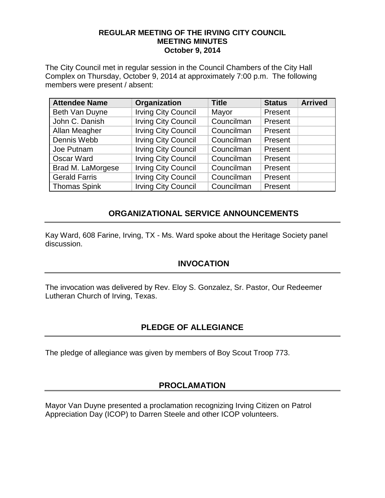#### **REGULAR MEETING OF THE IRVING CITY COUNCIL MEETING MINUTES October 9, 2014**

The City Council met in regular session in the Council Chambers of the City Hall Complex on Thursday, October 9, 2014 at approximately 7:00 p.m. The following members were present / absent:

| <b>Attendee Name</b> | Organization               | <b>Title</b> | <b>Status</b> | <b>Arrived</b> |
|----------------------|----------------------------|--------------|---------------|----------------|
| Beth Van Duyne       | <b>Irving City Council</b> | Mayor        | Present       |                |
| John C. Danish       | <b>Irving City Council</b> | Councilman   | Present       |                |
| Allan Meagher        | <b>Irving City Council</b> | Councilman   | Present       |                |
| Dennis Webb          | <b>Irving City Council</b> | Councilman   | Present       |                |
| Joe Putnam           | <b>Irving City Council</b> | Councilman   | Present       |                |
| <b>Oscar Ward</b>    | <b>Irving City Council</b> | Councilman   | Present       |                |
| Brad M. LaMorgese    | <b>Irving City Council</b> | Councilman   | Present       |                |
| <b>Gerald Farris</b> | <b>Irving City Council</b> | Councilman   | Present       |                |
| <b>Thomas Spink</b>  | <b>Irving City Council</b> | Councilman   | Present       |                |

# **ORGANIZATIONAL SERVICE ANNOUNCEMENTS**

Kay Ward, 608 Farine, Irving, TX - Ms. Ward spoke about the Heritage Society panel discussion.

# **INVOCATION**

The invocation was delivered by Rev. Eloy S. Gonzalez, Sr. Pastor, Our Redeemer Lutheran Church of Irving, Texas.

# **PLEDGE OF ALLEGIANCE**

The pledge of allegiance was given by members of Boy Scout Troop 773.

# **PROCLAMATION**

Mayor Van Duyne presented a proclamation recognizing Irving Citizen on Patrol Appreciation Day (ICOP) to Darren Steele and other ICOP volunteers.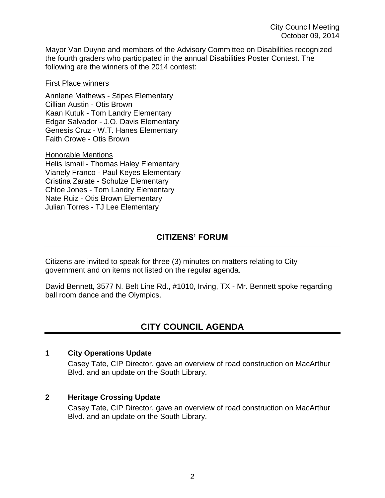Mayor Van Duyne and members of the Advisory Committee on Disabilities recognized the fourth graders who participated in the annual Disabilities Poster Contest. The following are the winners of the 2014 contest:

#### First Place winners

Annlene Mathews - Stipes Elementary Cillian Austin - Otis Brown Kaan Kutuk - Tom Landry Elementary Edgar Salvador - J.O. Davis Elementary Genesis Cruz - W.T. Hanes Elementary Faith Crowe - Otis Brown

Honorable Mentions

Helis Ismail - Thomas Haley Elementary Vianely Franco - Paul Keyes Elementary Cristina Zarate - Schulze Elementary Chloe Jones - Tom Landry Elementary Nate Ruiz - Otis Brown Elementary Julian Torres - TJ Lee Elementary

# **CITIZENS' FORUM**

Citizens are invited to speak for three (3) minutes on matters relating to City government and on items not listed on the regular agenda.

David Bennett, 3577 N. Belt Line Rd., #1010, Irving, TX - Mr. Bennett spoke regarding ball room dance and the Olympics.

# **CITY COUNCIL AGENDA**

#### **1 City Operations Update**

Casey Tate, CIP Director, gave an overview of road construction on MacArthur Blvd. and an update on the South Library.

### **2 Heritage Crossing Update**

Casey Tate, CIP Director, gave an overview of road construction on MacArthur Blvd. and an update on the South Library.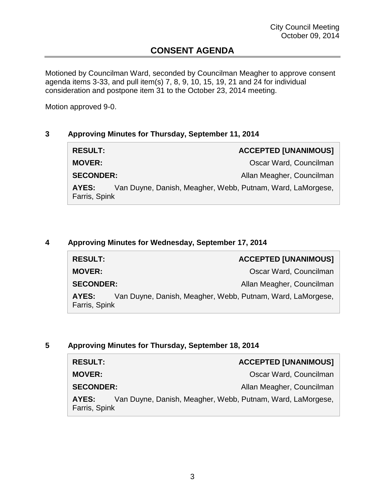# **CONSENT AGENDA**

Motioned by Councilman Ward, seconded by Councilman Meagher to approve consent agenda items 3-33, and pull item(s) 7, 8, 9, 10, 15, 19, 21 and 24 for individual consideration and postpone item 31 to the October 23, 2014 meeting.

Motion approved 9-0.

## **3 Approving Minutes for Thursday, September 11, 2014**

| <b>RESULT:</b>                                                                       | <b>ACCEPTED [UNANIMOUS]</b> |
|--------------------------------------------------------------------------------------|-----------------------------|
| <b>MOVER:</b>                                                                        | Oscar Ward, Councilman      |
| <b>SECONDER:</b>                                                                     | Allan Meagher, Councilman   |
| Van Duyne, Danish, Meagher, Webb, Putnam, Ward, LaMorgese,<br>AYES:<br>Farris, Spink |                             |

#### **4 Approving Minutes for Wednesday, September 17, 2014**

| <b>RESULT:</b>         |                                                            | <b>ACCEPTED [UNANIMOUS]</b> |
|------------------------|------------------------------------------------------------|-----------------------------|
| <b>MOVER:</b>          |                                                            | Oscar Ward, Councilman      |
| <b>SECONDER:</b>       |                                                            | Allan Meagher, Councilman   |
| AYES:<br>Farris, Spink | Van Duyne, Danish, Meagher, Webb, Putnam, Ward, LaMorgese, |                             |

### **5 Approving Minutes for Thursday, September 18, 2014**

| <b>RESULT:</b>                                                                       | <b>ACCEPTED [UNANIMOUS]</b> |
|--------------------------------------------------------------------------------------|-----------------------------|
| <b>MOVER:</b>                                                                        | Oscar Ward, Councilman      |
| <b>SECONDER:</b>                                                                     | Allan Meagher, Councilman   |
| Van Duyne, Danish, Meagher, Webb, Putnam, Ward, LaMorgese,<br>AYES:<br>Farris, Spink |                             |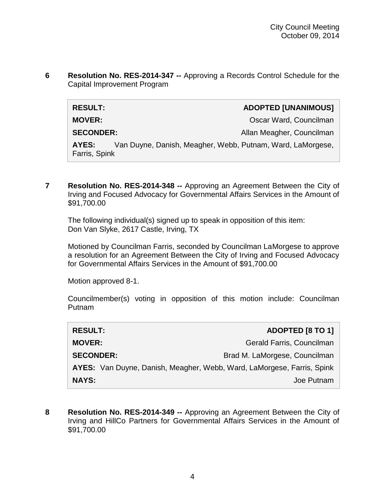**6 Resolution No. RES-2014-347 --** Approving a Records Control Schedule for the Capital Improvement Program

| <b>RESULT:</b>         |                                                            | <b>ADOPTED [UNANIMOUS]</b> |
|------------------------|------------------------------------------------------------|----------------------------|
| <b>MOVER:</b>          |                                                            | Oscar Ward, Councilman     |
| <b>SECONDER:</b>       |                                                            | Allan Meagher, Councilman  |
| AYES:<br>Farris, Spink | Van Duyne, Danish, Meagher, Webb, Putnam, Ward, LaMorgese, |                            |

**7 Resolution No. RES-2014-348 --** Approving an Agreement Between the City of Irving and Focused Advocacy for Governmental Affairs Services in the Amount of \$91,700.00

The following individual(s) signed up to speak in opposition of this item: Don Van Slyke, 2617 Castle, Irving, TX

Motioned by Councilman Farris, seconded by Councilman LaMorgese to approve a resolution for an Agreement Between the City of Irving and Focused Advocacy for Governmental Affairs Services in the Amount of \$91,700.00

Motion approved 8-1.

Councilmember(s) voting in opposition of this motion include: Councilman Putnam

| <b>RESULT:</b>                                                         | <b>ADOPTED [8 TO 1]</b>       |
|------------------------------------------------------------------------|-------------------------------|
| <b>MOVER:</b>                                                          | Gerald Farris, Councilman     |
| <b>SECONDER:</b>                                                       | Brad M. LaMorgese, Councilman |
| AYES: Van Duyne, Danish, Meagher, Webb, Ward, LaMorgese, Farris, Spink |                               |
| <b>NAYS:</b>                                                           | Joe Putnam                    |

**8 Resolution No. RES-2014-349 --** Approving an Agreement Between the City of Irving and HillCo Partners for Governmental Affairs Services in the Amount of \$91,700.00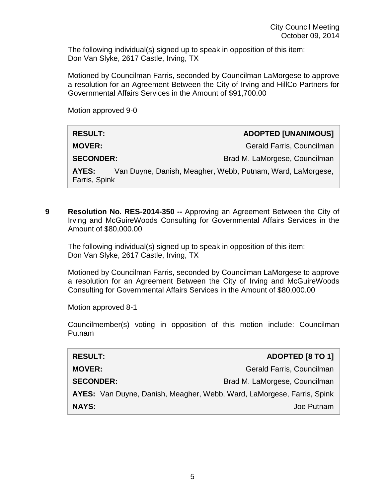The following individual(s) signed up to speak in opposition of this item: Don Van Slyke, 2617 Castle, Irving, TX

Motioned by Councilman Farris, seconded by Councilman LaMorgese to approve a resolution for an Agreement Between the City of Irving and HillCo Partners for Governmental Affairs Services in the Amount of \$91,700.00

Motion approved 9-0

| <b>RESULT:</b>         | <b>ADOPTED [UNANIMOUS]</b>                                 |
|------------------------|------------------------------------------------------------|
| <b>MOVER:</b>          | Gerald Farris, Councilman                                  |
| <b>SECONDER:</b>       | Brad M. LaMorgese, Councilman                              |
| AYES:<br>Farris, Spink | Van Duyne, Danish, Meagher, Webb, Putnam, Ward, LaMorgese, |

**9 Resolution No. RES-2014-350 --** Approving an Agreement Between the City of Irving and McGuireWoods Consulting for Governmental Affairs Services in the Amount of \$80,000.00

The following individual(s) signed up to speak in opposition of this item: Don Van Slyke, 2617 Castle, Irving, TX

Motioned by Councilman Farris, seconded by Councilman LaMorgese to approve a resolution for an Agreement Between the City of Irving and McGuireWoods Consulting for Governmental Affairs Services in the Amount of \$80,000.00

Motion approved 8-1

Councilmember(s) voting in opposition of this motion include: Councilman Putnam

| <b>RESULT:</b>                                                         | <b>ADOPTED [8 TO 1]</b>       |
|------------------------------------------------------------------------|-------------------------------|
| <b>MOVER:</b>                                                          | Gerald Farris, Councilman     |
| <b>SECONDER:</b>                                                       | Brad M. LaMorgese, Councilman |
| AYES: Van Duyne, Danish, Meagher, Webb, Ward, LaMorgese, Farris, Spink |                               |
| <b>NAYS:</b>                                                           | Joe Putnam                    |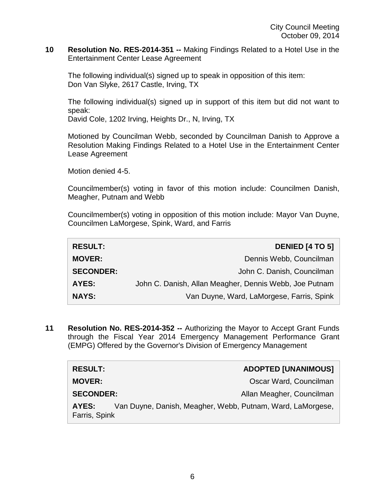#### **10 Resolution No. RES-2014-351 --** Making Findings Related to a Hotel Use in the Entertainment Center Lease Agreement

The following individual(s) signed up to speak in opposition of this item: Don Van Slyke, 2617 Castle, Irving, TX

The following individual(s) signed up in support of this item but did not want to speak:

David Cole, 1202 Irving, Heights Dr., N, Irving, TX

Motioned by Councilman Webb, seconded by Councilman Danish to Approve a Resolution Making Findings Related to a Hotel Use in the Entertainment Center Lease Agreement

Motion denied 4-5.

Councilmember(s) voting in favor of this motion include: Councilmen Danish, Meagher, Putnam and Webb

Councilmember(s) voting in opposition of this motion include: Mayor Van Duyne, Councilmen LaMorgese, Spink, Ward, and Farris

| <b>RESULT:</b>   | <b>DENIED [4 TO 5]</b>                                 |
|------------------|--------------------------------------------------------|
| <b>MOVER:</b>    | Dennis Webb, Councilman                                |
| <b>SECONDER:</b> | John C. Danish, Councilman                             |
| <b>AYES:</b>     | John C. Danish, Allan Meagher, Dennis Webb, Joe Putnam |
| <b>NAYS:</b>     | Van Duyne, Ward, LaMorgese, Farris, Spink              |

**11 Resolution No. RES-2014-352 --** Authorizing the Mayor to Accept Grant Funds through the Fiscal Year 2014 Emergency Management Performance Grant (EMPG) Offered by the Governor's Division of Emergency Management

| <b>RESULT:</b>                                                                       | <b>ADOPTED [UNANIMOUS]</b> |
|--------------------------------------------------------------------------------------|----------------------------|
| <b>MOVER:</b>                                                                        | Oscar Ward, Councilman     |
| <b>SECONDER:</b>                                                                     | Allan Meagher, Councilman  |
| Van Duyne, Danish, Meagher, Webb, Putnam, Ward, LaMorgese,<br>AYES:<br>Farris, Spink |                            |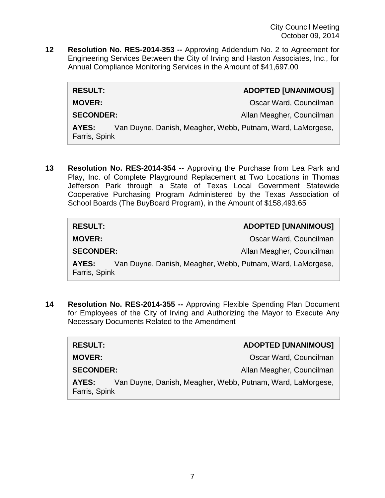**12 Resolution No. RES-2014-353 --** Approving Addendum No. 2 to Agreement for Engineering Services Between the City of Irving and Haston Associates, Inc., for Annual Compliance Monitoring Services in the Amount of \$41,697.00

| <b>RESULT:</b>                                                                       | <b>ADOPTED [UNANIMOUS]</b> |
|--------------------------------------------------------------------------------------|----------------------------|
| <b>MOVER:</b>                                                                        | Oscar Ward, Councilman     |
| <b>SECONDER:</b>                                                                     | Allan Meagher, Councilman  |
| Van Duyne, Danish, Meagher, Webb, Putnam, Ward, LaMorgese,<br>AYES:<br>Farris, Spink |                            |

**13 Resolution No. RES-2014-354 --** Approving the Purchase from Lea Park and Play, Inc. of Complete Playground Replacement at Two Locations in Thomas Jefferson Park through a State of Texas Local Government Statewide Cooperative Purchasing Program Administered by the Texas Association of School Boards (The BuyBoard Program), in the Amount of \$158,493.65

| <b>RESULT:</b>   | <b>ADOPTED [UNANIMOUS]</b>                                 |
|------------------|------------------------------------------------------------|
| <b>MOVER:</b>    | Oscar Ward, Councilman                                     |
| <b>SECONDER:</b> | Allan Meagher, Councilman                                  |
| AYES:            | Van Duyne, Danish, Meagher, Webb, Putnam, Ward, LaMorgese, |
| Farris, Spink    |                                                            |

**14 Resolution No. RES-2014-355 --** Approving Flexible Spending Plan Document for Employees of the City of Irving and Authorizing the Mayor to Execute Any Necessary Documents Related to the Amendment

| <b>RESULT:</b>                                                                       | <b>ADOPTED [UNANIMOUS]</b> |
|--------------------------------------------------------------------------------------|----------------------------|
| <b>MOVER:</b>                                                                        | Oscar Ward, Councilman     |
| <b>SECONDER:</b>                                                                     | Allan Meagher, Councilman  |
| Van Duyne, Danish, Meagher, Webb, Putnam, Ward, LaMorgese,<br>AYES:<br>Farris, Spink |                            |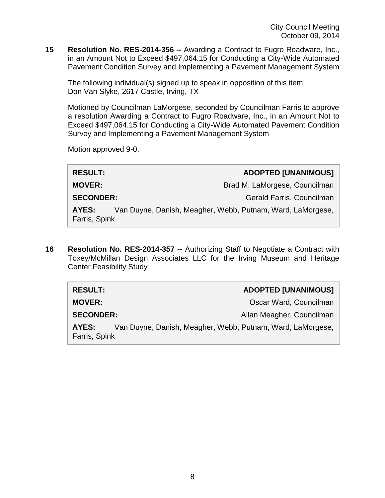**15 Resolution No. RES-2014-356 --** Awarding a Contract to Fugro Roadware, Inc., in an Amount Not to Exceed \$497,064.15 for Conducting a City-Wide Automated Pavement Condition Survey and Implementing a Pavement Management System

The following individual(s) signed up to speak in opposition of this item: Don Van Slyke, 2617 Castle, Irving, TX

Motioned by Councilman LaMorgese, seconded by Councilman Farris to approve a resolution Awarding a Contract to Fugro Roadware, Inc., in an Amount Not to Exceed \$497,064.15 for Conducting a City-Wide Automated Pavement Condition Survey and Implementing a Pavement Management System

Motion approved 9-0.

| <b>RESULT:</b>                                                                       |  | <b>ADOPTED [UNANIMOUS]</b>    |
|--------------------------------------------------------------------------------------|--|-------------------------------|
| <b>MOVER:</b>                                                                        |  | Brad M. LaMorgese, Councilman |
| <b>SECONDER:</b>                                                                     |  | Gerald Farris, Councilman     |
| Van Duyne, Danish, Meagher, Webb, Putnam, Ward, LaMorgese,<br>AYES:<br>Farris, Spink |  |                               |

**16 Resolution No. RES-2014-357 --** Authorizing Staff to Negotiate a Contract with Toxey/McMillan Design Associates LLC for the Irving Museum and Heritage Center Feasibility Study

| <b>RESULT:</b>         | <b>ADOPTED [UNANIMOUS]</b>                                 |
|------------------------|------------------------------------------------------------|
| <b>MOVER:</b>          | Oscar Ward, Councilman                                     |
| <b>SECONDER:</b>       | Allan Meagher, Councilman                                  |
| AYES:<br>Farris, Spink | Van Duyne, Danish, Meagher, Webb, Putnam, Ward, LaMorgese, |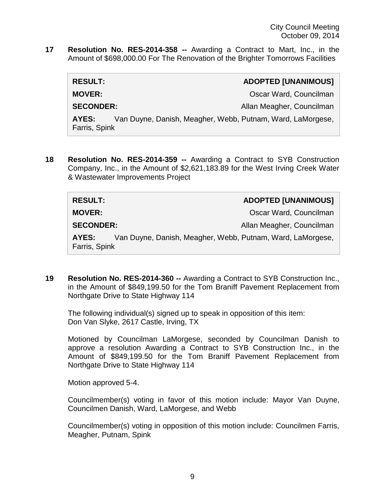**17 Resolution No. RES-2014-358 --** Awarding a Contract to Mart, Inc., in the Amount of \$698,000.00 For The Renovation of the Brighter Tomorrows Facilities

| <b>RESULT:</b>                                                                       |  | <b>ADOPTED [UNANIMOUS]</b> |
|--------------------------------------------------------------------------------------|--|----------------------------|
| <b>MOVER:</b>                                                                        |  | Oscar Ward, Councilman     |
| <b>SECONDER:</b>                                                                     |  | Allan Meagher, Councilman  |
| Van Duyne, Danish, Meagher, Webb, Putnam, Ward, LaMorgese,<br>AYES:<br>Farris, Spink |  |                            |

**18 Resolution No. RES-2014-359 --** Awarding a Contract to SYB Construction Company, Inc., in the Amount of \$2,621,183.89 for the West Irving Creek Water & Wastewater Improvements Project

| <b>RESULT:</b>         |                                                            | <b>ADOPTED [UNANIMOUS]</b> |
|------------------------|------------------------------------------------------------|----------------------------|
| <b>MOVER:</b>          |                                                            | Oscar Ward, Councilman     |
| <b>SECONDER:</b>       |                                                            | Allan Meagher, Councilman  |
| AYES:<br>Farris, Spink | Van Duyne, Danish, Meagher, Webb, Putnam, Ward, LaMorgese, |                            |

**19 Resolution No. RES-2014-360 --** Awarding a Contract to SYB Construction Inc., in the Amount of \$849,199.50 for the Tom Braniff Pavement Replacement from Northgate Drive to State Highway 114

The following individual(s) signed up to speak in opposition of this item: Don Van Slyke, 2617 Castle, Irving, TX

Motioned by Councilman LaMorgese, seconded by Councilman Danish to approve a resolution Awarding a Contract to SYB Construction Inc., in the Amount of \$849,199.50 for the Tom Braniff Pavement Replacement from Northgate Drive to State Highway 114

Motion approved 5-4.

Councilmember(s) voting in favor of this motion include: Mayor Van Duyne, Councilmen Danish, Ward, LaMorgese, and Webb

Councilmember(s) voting in opposition of this motion include: Councilmen Farris, Meagher, Putnam, Spink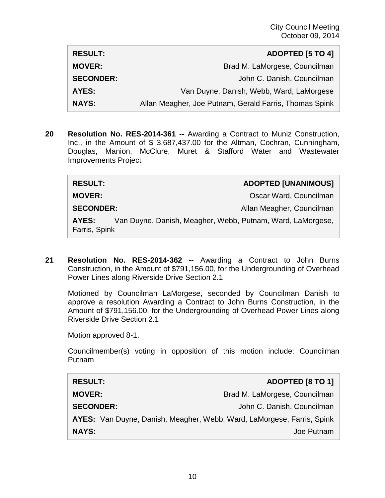| <b>RESULT:</b>   | <b>ADOPTED [5 TO 4]</b>                                |
|------------------|--------------------------------------------------------|
| <b>MOVER:</b>    | Brad M. LaMorgese, Councilman                          |
| <b>SECONDER:</b> | John C. Danish, Councilman                             |
| AYES:            | Van Duyne, Danish, Webb, Ward, LaMorgese               |
| <b>NAYS:</b>     | Allan Meagher, Joe Putnam, Gerald Farris, Thomas Spink |

**20 Resolution No. RES-2014-361 --** Awarding a Contract to Muniz Construction, Inc., in the Amount of \$ 3,687,437.00 for the Altman, Cochran, Cunningham, Douglas, Manion, McClure, Muret & Stafford Water and Wastewater Improvements Project

| <b>RESULT:</b>   |                                                           | <b>ADOPTED [UNANIMOUS]</b> |
|------------------|-----------------------------------------------------------|----------------------------|
| <b>MOVER:</b>    |                                                           | Oscar Ward, Councilman     |
| <b>SECONDER:</b> |                                                           | Allan Meagher, Councilman  |
| AVEC.            | Van Duung, Danjah, Maaghar, Wahh, Dutnam, Ward, LaMargaga |                            |

**AYES:** Van Duyne, Danish, Meagher, Webb, Putnam, Ward, LaMorgese, Farris, Spink

**21 Resolution No. RES-2014-362 --** Awarding a Contract to John Burns Construction, in the Amount of \$791,156.00, for the Undergrounding of Overhead Power Lines along Riverside Drive Section 2.1

Motioned by Councilman LaMorgese, seconded by Councilman Danish to approve a resolution Awarding a Contract to John Burns Construction, in the Amount of \$791,156.00, for the Undergrounding of Overhead Power Lines along Riverside Drive Section 2.1

Motion approved 8-1.

Councilmember(s) voting in opposition of this motion include: Councilman Putnam

| <b>RESULT:</b>                                                         | ADOPTED [8 TO 1]              |
|------------------------------------------------------------------------|-------------------------------|
| <b>MOVER:</b>                                                          | Brad M. LaMorgese, Councilman |
| <b>SECONDER:</b>                                                       | John C. Danish, Councilman    |
| AYES: Van Duyne, Danish, Meagher, Webb, Ward, LaMorgese, Farris, Spink |                               |
| <b>NAYS:</b>                                                           | Joe Putnam                    |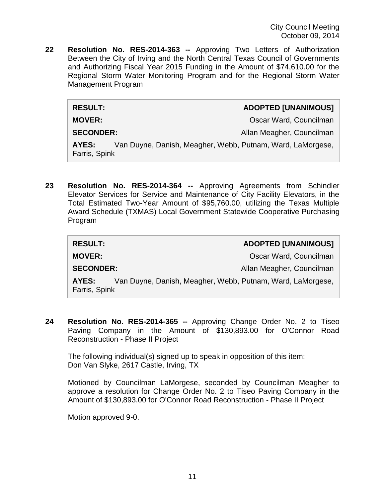**22 Resolution No. RES-2014-363 --** Approving Two Letters of Authorization Between the City of Irving and the North Central Texas Council of Governments and Authorizing Fiscal Year 2015 Funding in the Amount of \$74,610.00 for the Regional Storm Water Monitoring Program and for the Regional Storm Water Management Program

**RESULT: ADOPTED [UNANIMOUS]**

**MOVER: CONSIDERENT CONSIDERENT CONSIDERENT CONSIDERENT CONSIDERED AT CONSIDERATION CONSIDERED AT A CONSIDERATION OF A CONSIDERATION OF A CONSIDERATION OF A CONSIDERATION OF A CONSIDERATION OF A CONSIDERATION OF A CONSID** 

**SECONDER:** Allan Meagher, Councilman

**AYES:** Van Duyne, Danish, Meagher, Webb, Putnam, Ward, LaMorgese, Farris, Spink

**23 Resolution No. RES-2014-364 --** Approving Agreements from Schindler Elevator Services for Service and Maintenance of City Facility Elevators, in the Total Estimated Two-Year Amount of \$95,760.00, utilizing the Texas Multiple Award Schedule (TXMAS) Local Government Statewide Cooperative Purchasing Program

| <b>RESULT:</b>                                                                       | <b>ADOPTED [UNANIMOUS]</b> |
|--------------------------------------------------------------------------------------|----------------------------|
| <b>MOVER:</b>                                                                        | Oscar Ward, Councilman     |
| <b>SECONDER:</b>                                                                     | Allan Meagher, Councilman  |
| Van Duyne, Danish, Meagher, Webb, Putnam, Ward, LaMorgese,<br>AYES:<br>Farris, Spink |                            |

**24 Resolution No. RES-2014-365 --** Approving Change Order No. 2 to Tiseo Paving Company in the Amount of \$130,893.00 for O'Connor Road Reconstruction - Phase II Project

The following individual(s) signed up to speak in opposition of this item: Don Van Slyke, 2617 Castle, Irving, TX

Motioned by Councilman LaMorgese, seconded by Councilman Meagher to approve a resolution for Change Order No. 2 to Tiseo Paving Company in the Amount of \$130,893.00 for O'Connor Road Reconstruction - Phase II Project

Motion approved 9-0.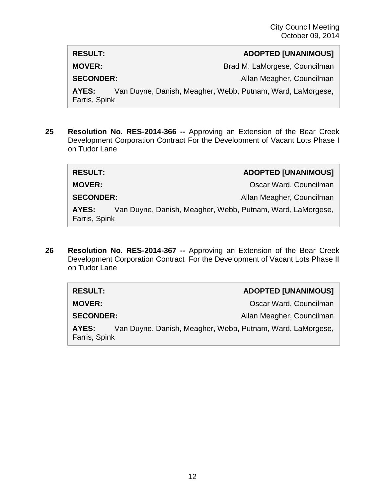**RESULT: ADOPTED [UNANIMOUS]**

**MOVER:** Brad M. LaMorgese, Councilman

**SECONDER:** Allan Meagher, Councilman

**AYES:** Van Duyne, Danish, Meagher, Webb, Putnam, Ward, LaMorgese, Farris, Spink

**25 Resolution No. RES-2014-366 --** Approving an Extension of the Bear Creek Development Corporation Contract For the Development of Vacant Lots Phase I on Tudor Lane

| <b>RESULT:</b>         | <b>ADOPTED [UNANIMOUS]</b>                                 |
|------------------------|------------------------------------------------------------|
| <b>MOVER:</b>          | Oscar Ward, Councilman                                     |
| <b>SECONDER:</b>       | Allan Meagher, Councilman                                  |
| AYES:<br>Farris, Spink | Van Duyne, Danish, Meagher, Webb, Putnam, Ward, LaMorgese, |

**26 Resolution No. RES-2014-367 --** Approving an Extension of the Bear Creek Development Corporation Contract For the Development of Vacant Lots Phase II on Tudor Lane

| <b>RESULT:</b>                                                                       |  | <b>ADOPTED [UNANIMOUS]</b> |
|--------------------------------------------------------------------------------------|--|----------------------------|
| <b>MOVER:</b>                                                                        |  | Oscar Ward, Councilman     |
| <b>SECONDER:</b>                                                                     |  | Allan Meagher, Councilman  |
| Van Duyne, Danish, Meagher, Webb, Putnam, Ward, LaMorgese,<br>AYES:<br>Farris, Spink |  |                            |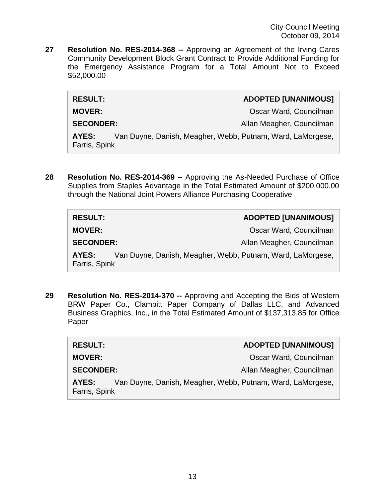**27 Resolution No. RES-2014-368 --** Approving an Agreement of the Irving Cares Community Development Block Grant Contract to Provide Additional Funding for the Emergency Assistance Program for a Total Amount Not to Exceed \$52,000.00

| <b>RESULT:</b>   | <b>ADOPTED [UNANIMOUS]</b> |
|------------------|----------------------------|
| <b>MOVER:</b>    | Oscar Ward, Councilman     |
| <b>SECONDER:</b> | Allan Meagher, Councilman  |

**AYES:** Van Duyne, Danish, Meagher, Webb, Putnam, Ward, LaMorgese, Farris, Spink

**28 Resolution No. RES-2014-369 --** Approving the As-Needed Purchase of Office Supplies from Staples Advantage in the Total Estimated Amount of \$200,000.00 through the National Joint Powers Alliance Purchasing Cooperative

| <b>RESULT:</b>                                                                       | <b>ADOPTED [UNANIMOUS]</b> |
|--------------------------------------------------------------------------------------|----------------------------|
| <b>MOVER:</b>                                                                        | Oscar Ward, Councilman     |
| <b>SECONDER:</b>                                                                     | Allan Meagher, Councilman  |
| Van Duyne, Danish, Meagher, Webb, Putnam, Ward, LaMorgese,<br>AYES:<br>Farris, Spink |                            |

**29 Resolution No. RES-2014-370 --** Approving and Accepting the Bids of Western BRW Paper Co., Clampitt Paper Company of Dallas LLC, and Advanced Business Graphics, Inc., in the Total Estimated Amount of \$137,313.85 for Office Paper

| <b>RESULT:</b>                                                                       |  | <b>ADOPTED [UNANIMOUS]</b> |
|--------------------------------------------------------------------------------------|--|----------------------------|
| <b>MOVER:</b>                                                                        |  | Oscar Ward, Councilman     |
| <b>SECONDER:</b>                                                                     |  | Allan Meagher, Councilman  |
| Van Duyne, Danish, Meagher, Webb, Putnam, Ward, LaMorgese,<br>AYES:<br>Farris, Spink |  |                            |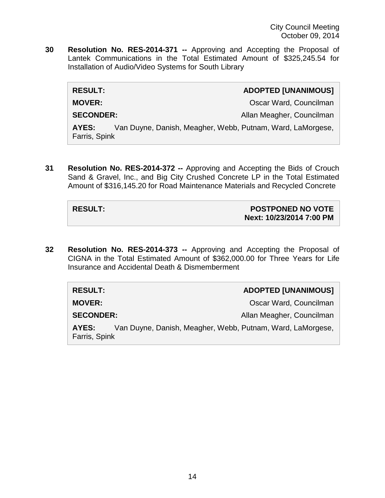**30 Resolution No. RES-2014-371 --** Approving and Accepting the Proposal of Lantek Communications in the Total Estimated Amount of \$325,245.54 for Installation of Audio/Video Systems for South Library

| <b>RESULT:</b>                                                                       | <b>ADOPTED [UNANIMOUS]</b> |
|--------------------------------------------------------------------------------------|----------------------------|
| <b>MOVER:</b>                                                                        | Oscar Ward, Councilman     |
| <b>SECONDER:</b>                                                                     | Allan Meagher, Councilman  |
| Van Duyne, Danish, Meagher, Webb, Putnam, Ward, LaMorgese,<br>AYES:<br>Farris, Spink |                            |

**31 Resolution No. RES-2014-372 --** Approving and Accepting the Bids of Crouch Sand & Gravel, Inc., and Big City Crushed Concrete LP in the Total Estimated Amount of \$316,145.20 for Road Maintenance Materials and Recycled Concrete

### **RESULT: POSTPONED NO VOTE Next: 10/23/2014 7:00 PM**

**32 Resolution No. RES-2014-373 --** Approving and Accepting the Proposal of CIGNA in the Total Estimated Amount of \$362,000.00 for Three Years for Life Insurance and Accidental Death & Dismemberment

| <b>RESULT:</b>                                                                       | <b>ADOPTED [UNANIMOUS]</b> |
|--------------------------------------------------------------------------------------|----------------------------|
| <b>MOVER:</b>                                                                        | Oscar Ward, Councilman     |
| <b>SECONDER:</b>                                                                     | Allan Meagher, Councilman  |
| Van Duyne, Danish, Meagher, Webb, Putnam, Ward, LaMorgese,<br>AYES:<br>Farris, Spink |                            |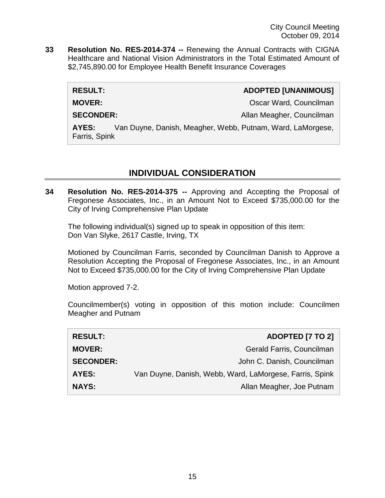**33 Resolution No. RES-2014-374 --** Renewing the Annual Contracts with CIGNA Healthcare and National Vision Administrators in the Total Estimated Amount of \$2,745,890.00 for Employee Health Benefit Insurance Coverages

### **RESULT: ADOPTED [UNANIMOUS]**

**MOVER: COUNCILLE ACCOUNT ACCOUNT ACCOUNT ACCOUNT ACCOUNT ACCOUNT ACCOUNT ACCOUNT ACCOUNT ACCOUNT ACCOUNT ACCOUNT ACCOUNT ACCOUNT ACCOUNT ACCOUNT ACCOUNT ACCOUNT ACCOUNT ACCOUNT ACCOUNT ACCOUNT ACCOUNT ACCOUNT ACCOUNT AC** 

**SECONDER:** Allan Meagher, Councilman Allan Meagher, Councilman

**AYES:** Van Duyne, Danish, Meagher, Webb, Putnam, Ward, LaMorgese, Farris, Spink

# **INDIVIDUAL CONSIDERATION**

**34 Resolution No. RES-2014-375 --** Approving and Accepting the Proposal of Fregonese Associates, Inc., in an Amount Not to Exceed \$735,000.00 for the City of Irving Comprehensive Plan Update

The following individual(s) signed up to speak in opposition of this item: Don Van Slyke, 2617 Castle, Irving, TX

Motioned by Councilman Farris, seconded by Councilman Danish to Approve a Resolution Accepting the Proposal of Fregonese Associates, Inc., in an Amount Not to Exceed \$735,000.00 for the City of Irving Comprehensive Plan Update

Motion approved 7-2.

Councilmember(s) voting in opposition of this motion include: Councilmen Meagher and Putnam

| <b>RESULT:</b>   | <b>ADOPTED [7 TO 2]</b>                                 |
|------------------|---------------------------------------------------------|
| <b>MOVER:</b>    | Gerald Farris, Councilman                               |
| <b>SECONDER:</b> | John C. Danish, Councilman                              |
| <b>AYES:</b>     | Van Duyne, Danish, Webb, Ward, LaMorgese, Farris, Spink |
| <b>NAYS:</b>     | Allan Meagher, Joe Putnam                               |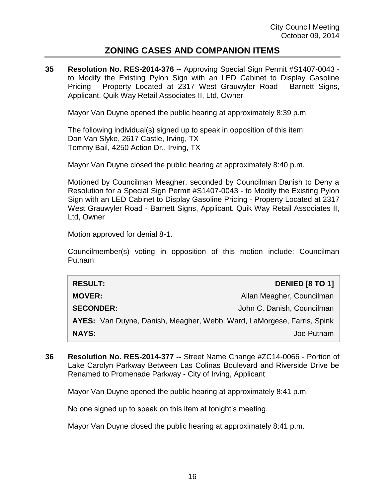## **ZONING CASES AND COMPANION ITEMS**

**35 Resolution No. RES-2014-376 --** Approving Special Sign Permit #S1407-0043 to Modify the Existing Pylon Sign with an LED Cabinet to Display Gasoline Pricing - Property Located at 2317 West Grauwyler Road - Barnett Signs, Applicant. Quik Way Retail Associates II, Ltd, Owner

Mayor Van Duyne opened the public hearing at approximately 8:39 p.m.

The following individual(s) signed up to speak in opposition of this item: Don Van Slyke, 2617 Castle, Irving, TX Tommy Bail, 4250 Action Dr., Irving, TX

Mayor Van Duyne closed the public hearing at approximately 8:40 p.m.

Motioned by Councilman Meagher, seconded by Councilman Danish to Deny a Resolution for a Special Sign Permit #S1407-0043 - to Modify the Existing Pylon Sign with an LED Cabinet to Display Gasoline Pricing - Property Located at 2317 West Grauwyler Road - Barnett Signs, Applicant. Quik Way Retail Associates II, Ltd, Owner

Motion approved for denial 8-1.

Councilmember(s) voting in opposition of this motion include: Councilman Putnam

| <b>RESULT:</b>                                                         | <b>DENIED [8 TO 1]</b>     |
|------------------------------------------------------------------------|----------------------------|
| <b>MOVER:</b>                                                          | Allan Meagher, Councilman  |
| <b>SECONDER:</b>                                                       | John C. Danish, Councilman |
| AYES: Van Duyne, Danish, Meagher, Webb, Ward, LaMorgese, Farris, Spink |                            |
| <b>NAYS:</b>                                                           | Joe Putnam                 |

**36 Resolution No. RES-2014-377 --** Street Name Change #ZC14-0066 - Portion of Lake Carolyn Parkway Between Las Colinas Boulevard and Riverside Drive be Renamed to Promenade Parkway - City of Irving, Applicant

Mayor Van Duyne opened the public hearing at approximately 8:41 p.m.

No one signed up to speak on this item at tonight's meeting.

Mayor Van Duyne closed the public hearing at approximately 8:41 p.m.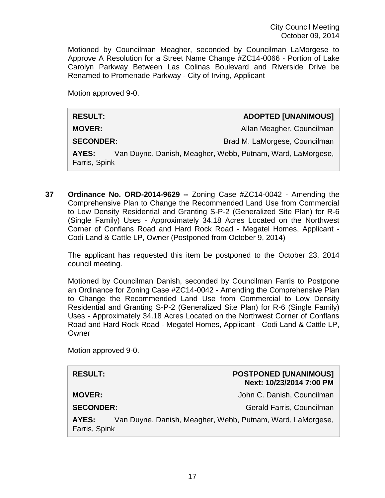Motioned by Councilman Meagher, seconded by Councilman LaMorgese to Approve A Resolution for a Street Name Change #ZC14-0066 - Portion of Lake Carolyn Parkway Between Las Colinas Boulevard and Riverside Drive be Renamed to Promenade Parkway - City of Irving, Applicant

Motion approved 9-0.

| <b>RESULT:</b>                                                                       | <b>ADOPTED [UNANIMOUS]</b>    |
|--------------------------------------------------------------------------------------|-------------------------------|
| <b>MOVER:</b>                                                                        | Allan Meagher, Councilman     |
| <b>SECONDER:</b>                                                                     | Brad M. LaMorgese, Councilman |
| Van Duyne, Danish, Meagher, Webb, Putnam, Ward, LaMorgese,<br>AYES:<br>Farris, Spink |                               |

**37 Ordinance No. ORD-2014-9629 --** Zoning Case #ZC14-0042 - Amending the Comprehensive Plan to Change the Recommended Land Use from Commercial to Low Density Residential and Granting S-P-2 (Generalized Site Plan) for R-6 (Single Family) Uses - Approximately 34.18 Acres Located on the Northwest Corner of Conflans Road and Hard Rock Road - Megatel Homes, Applicant - Codi Land & Cattle LP, Owner (Postponed from October 9, 2014)

The applicant has requested this item be postponed to the October 23, 2014 council meeting.

Motioned by Councilman Danish, seconded by Councilman Farris to Postpone an Ordinance for Zoning Case #ZC14-0042 - Amending the Comprehensive Plan to Change the Recommended Land Use from Commercial to Low Density Residential and Granting S-P-2 (Generalized Site Plan) for R-6 (Single Family) Uses - Approximately 34.18 Acres Located on the Northwest Corner of Conflans Road and Hard Rock Road - Megatel Homes, Applicant - Codi Land & Cattle LP, **Owner** 

Motion approved 9-0.

| <b>RESULT:</b>         |                                                            | <b>POSTPONED [UNANIMOUS]</b><br>Next: 10/23/2014 7:00 PM |
|------------------------|------------------------------------------------------------|----------------------------------------------------------|
| <b>MOVER:</b>          |                                                            | John C. Danish, Councilman                               |
| <b>SECONDER:</b>       |                                                            | Gerald Farris, Councilman                                |
| AYES:<br>Farris, Spink | Van Duyne, Danish, Meagher, Webb, Putnam, Ward, LaMorgese, |                                                          |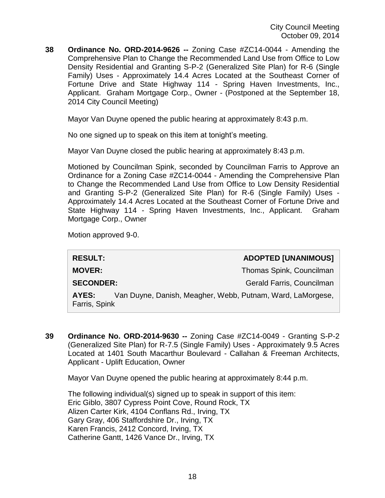**38 Ordinance No. ORD-2014-9626 --** Zoning Case #ZC14-0044 - Amending the Comprehensive Plan to Change the Recommended Land Use from Office to Low Density Residential and Granting S-P-2 (Generalized Site Plan) for R-6 (Single Family) Uses - Approximately 14.4 Acres Located at the Southeast Corner of Fortune Drive and State Highway 114 - Spring Haven Investments, Inc., Applicant. Graham Mortgage Corp., Owner - (Postponed at the September 18, 2014 City Council Meeting)

Mayor Van Duyne opened the public hearing at approximately 8:43 p.m.

No one signed up to speak on this item at tonight's meeting.

Mayor Van Duyne closed the public hearing at approximately 8:43 p.m.

Motioned by Councilman Spink, seconded by Councilman Farris to Approve an Ordinance for a Zoning Case #ZC14-0044 - Amending the Comprehensive Plan to Change the Recommended Land Use from Office to Low Density Residential and Granting S-P-2 (Generalized Site Plan) for R-6 (Single Family) Uses - Approximately 14.4 Acres Located at the Southeast Corner of Fortune Drive and State Highway 114 - Spring Haven Investments, Inc., Applicant. Graham Mortgage Corp., Owner

Motion approved 9-0.

| <b>RESULT:</b>                                                                       | <b>ADOPTED [UNANIMOUS]</b> |  |
|--------------------------------------------------------------------------------------|----------------------------|--|
| <b>MOVER:</b>                                                                        | Thomas Spink, Councilman   |  |
| <b>SECONDER:</b>                                                                     | Gerald Farris, Councilman  |  |
| Van Duyne, Danish, Meagher, Webb, Putnam, Ward, LaMorgese,<br>AYES:<br>Farris, Spink |                            |  |

**39 Ordinance No. ORD-2014-9630 --** Zoning Case #ZC14-0049 - Granting S-P-2 (Generalized Site Plan) for R-7.5 (Single Family) Uses - Approximately 9.5 Acres Located at 1401 South Macarthur Boulevard - Callahan & Freeman Architects, Applicant - Uplift Education, Owner

Mayor Van Duyne opened the public hearing at approximately 8:44 p.m.

The following individual(s) signed up to speak in support of this item: Eric Giblo, 3807 Cypress Point Cove, Round Rock, TX Alizen Carter Kirk, 4104 Conflans Rd., Irving, TX Gary Gray, 406 Staffordshire Dr., Irving, TX Karen Francis, 2412 Concord, Irving, TX Catherine Gantt, 1426 Vance Dr., Irving, TX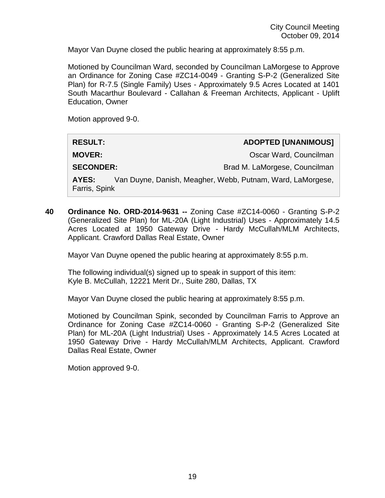Mayor Van Duyne closed the public hearing at approximately 8:55 p.m.

Motioned by Councilman Ward, seconded by Councilman LaMorgese to Approve an Ordinance for Zoning Case #ZC14-0049 - Granting S-P-2 (Generalized Site Plan) for R-7.5 (Single Family) Uses - Approximately 9.5 Acres Located at 1401 South Macarthur Boulevard - Callahan & Freeman Architects, Applicant - Uplift Education, Owner

Motion approved 9-0.

| <b>RESULT:</b>                                                                       | <b>ADOPTED [UNANIMOUS]</b>    |
|--------------------------------------------------------------------------------------|-------------------------------|
| <b>MOVER:</b>                                                                        | Oscar Ward, Councilman        |
| <b>SECONDER:</b>                                                                     | Brad M. LaMorgese, Councilman |
| Van Duyne, Danish, Meagher, Webb, Putnam, Ward, LaMorgese,<br>AYES:<br>Farris, Spink |                               |

**40 Ordinance No. ORD-2014-9631 --** Zoning Case #ZC14-0060 - Granting S-P-2 (Generalized Site Plan) for ML-20A (Light Industrial) Uses - Approximately 14.5 Acres Located at 1950 Gateway Drive - Hardy McCullah/MLM Architects, Applicant. Crawford Dallas Real Estate, Owner

Mayor Van Duyne opened the public hearing at approximately 8:55 p.m.

The following individual(s) signed up to speak in support of this item: Kyle B. McCullah, 12221 Merit Dr., Suite 280, Dallas, TX

Mayor Van Duyne closed the public hearing at approximately 8:55 p.m.

Motioned by Councilman Spink, seconded by Councilman Farris to Approve an Ordinance for Zoning Case #ZC14-0060 - Granting S-P-2 (Generalized Site Plan) for ML-20A (Light Industrial) Uses - Approximately 14.5 Acres Located at 1950 Gateway Drive - Hardy McCullah/MLM Architects, Applicant. Crawford Dallas Real Estate, Owner

Motion approved 9-0.